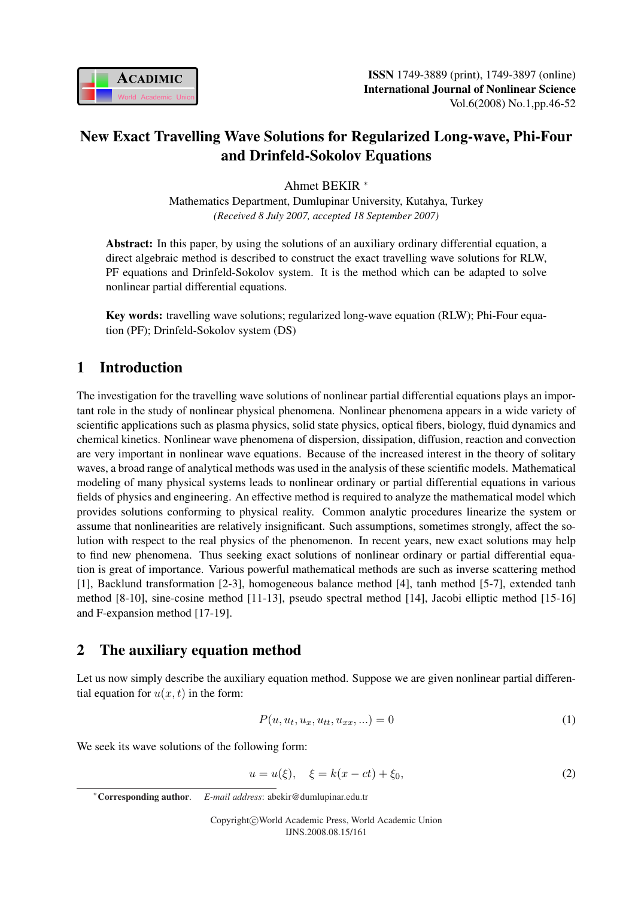

# New Exact Travelling Wave Solutions for Regularized Long-wave, Phi-Four and Drinfeld-Sokolov Equations

Ahmet BEKIR <sup>∗</sup>

Mathematics Department, Dumlupinar University, Kutahya, Turkey *(Received 8 July 2007, accepted 18 September 2007)*

Abstract: In this paper, by using the solutions of an auxiliary ordinary differential equation, a direct algebraic method is described to construct the exact travelling wave solutions for RLW, PF equations and Drinfeld-Sokolov system. It is the method which can be adapted to solve nonlinear partial differential equations.

Key words: travelling wave solutions; regularized long-wave equation (RLW); Phi-Four equation (PF); Drinfeld-Sokolov system (DS)

## 1 Introduction

The investigation for the travelling wave solutions of nonlinear partial differential equations plays an important role in the study of nonlinear physical phenomena. Nonlinear phenomena appears in a wide variety of scientific applications such as plasma physics, solid state physics, optical fibers, biology, fluid dynamics and chemical kinetics. Nonlinear wave phenomena of dispersion, dissipation, diffusion, reaction and convection are very important in nonlinear wave equations. Because of the increased interest in the theory of solitary waves, a broad range of analytical methods was used in the analysis of these scientific models. Mathematical modeling of many physical systems leads to nonlinear ordinary or partial differential equations in various fields of physics and engineering. An effective method is required to analyze the mathematical model which provides solutions conforming to physical reality. Common analytic procedures linearize the system or assume that nonlinearities are relatively insignificant. Such assumptions, sometimes strongly, affect the solution with respect to the real physics of the phenomenon. In recent years, new exact solutions may help to find new phenomena. Thus seeking exact solutions of nonlinear ordinary or partial differential equation is great of importance. Various powerful mathematical methods are such as inverse scattering method [1], Backlund transformation [2-3], homogeneous balance method [4], tanh method [5-7], extended tanh method [8-10], sine-cosine method [11-13], pseudo spectral method [14], Jacobi elliptic method [15-16] and F-expansion method [17-19].

# 2 The auxiliary equation method

Let us now simply describe the auxiliary equation method. Suppose we are given nonlinear partial differential equation for  $u(x, t)$  in the form:

$$
P(u, u_t, u_x, u_{tt}, u_{xx}, \ldots) = 0
$$
\n(1)

We seek its wave solutions of the following form:

$$
u = u(\xi), \quad \xi = k(x - ct) + \xi_0,
$$
\n(2)

<sup>∗</sup>Corresponding author. *E-mail address*: abekir@dumlupinar.edu.tr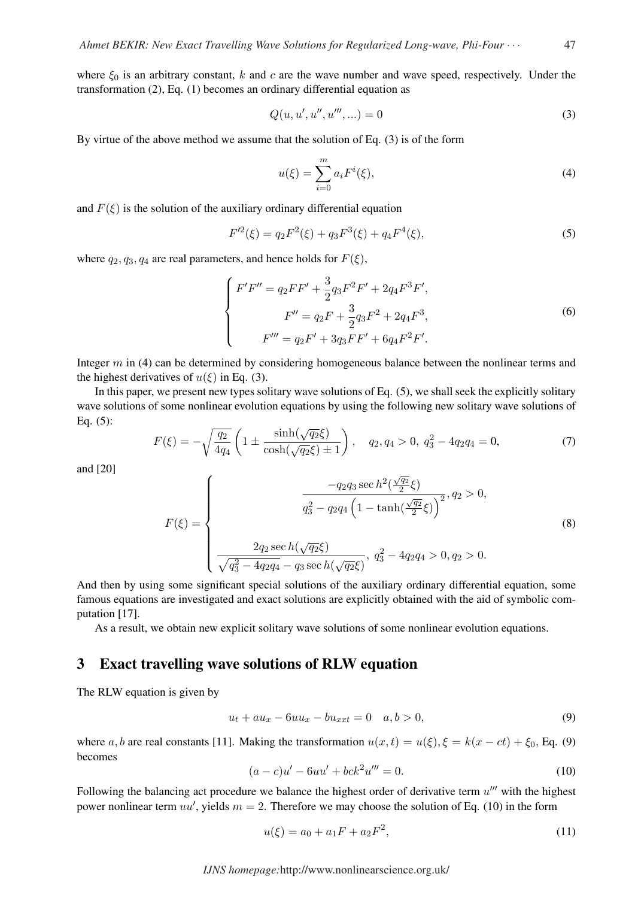where  $\xi_0$  is an arbitrary constant, k and c are the wave number and wave speed, respectively. Under the transformation (2), Eq. (1) becomes an ordinary differential equation as

$$
Q(u, u', u'', u''', \ldots) = 0 \tag{3}
$$

By virtue of the above method we assume that the solution of Eq. (3) is of the form

$$
u(\xi) = \sum_{i=0}^{m} a_i F^i(\xi),
$$
\n(4)

and  $F(\xi)$  is the solution of the auxiliary ordinary differential equation

$$
F'^{2}(\xi) = q_2 F^2(\xi) + q_3 F^3(\xi) + q_4 F^4(\xi),
$$
\n(5)

where  $q_2, q_3, q_4$  are real parameters, and hence holds for  $F(\xi)$ ,

$$
\begin{cases}\nF'F'' = q_2FF' + \frac{3}{2}q_3F^2F' + 2q_4F^3F',\\
F'' = q_2F + \frac{3}{2}q_3F^2 + 2q_4F^3,\\
F''' = q_2F' + 3q_3FF' + 6q_4F^2F'.\n\end{cases}
$$
\n(6)

Integer m in (4) can be determined by considering homogeneous balance between the nonlinear terms and the highest derivatives of  $u(\xi)$  in Eq. (3).

In this paper, we present new types solitary wave solutions of Eq. (5), we shall seek the explicitly solitary wave solutions of some nonlinear evolution equations by using the following new solitary wave solutions of Eq. (5):  $\overline{a}$  $\mathbf{r}$ 

$$
F(\xi) = -\sqrt{\frac{q_2}{4q_4}} \left( 1 \pm \frac{\sinh(\sqrt{q_2}\xi)}{\cosh(\sqrt{q_2}\xi) \pm 1} \right), \quad q_2, q_4 > 0, \ q_3^2 - 4q_2q_4 = 0,\tag{7}
$$

and [20]

$$
F(\xi) = \begin{cases} \frac{-q_2 q_3 \sec h^2(\frac{\sqrt{q_2}}{2}\xi)}{q_3^2 - q_2 q_4 \left(1 - \tanh(\frac{\sqrt{q_2}}{2}\xi)\right)^2}, q_2 > 0, \\ & \\ \frac{2q_2 \sec h(\sqrt{q_2}\xi)}{\sqrt{q_3^2 - 4q_2 q_4} - q_3 \sec h(\sqrt{q_2}\xi)}, q_3^2 - 4q_2 q_4 > 0, q_2 > 0. \end{cases}
$$
(8)

And then by using some significant special solutions of the auxiliary ordinary differential equation, some famous equations are investigated and exact solutions are explicitly obtained with the aid of symbolic computation [17].

As a result, we obtain new explicit solitary wave solutions of some nonlinear evolution equations.

#### 3 Exact travelling wave solutions of RLW equation

The RLW equation is given by

$$
u_t + au_x - 6uu_x - bu_{xxt} = 0 \quad a, b > 0,
$$
\n(9)

where a, b are real constants [11]. Making the transformation  $u(x, t) = u(\xi), \xi = k(x - ct) + \xi_0$ , Eq. (9) becomes

$$
(a - c)u' - 6uu' + bck^2u''' = 0.
$$
\n(10)

Following the balancing act procedure we balance the highest order of derivative term  $u^{\prime\prime\prime}$  with the highest power nonlinear term  $uu'$ , yields  $m = 2$ . Therefore we may choose the solution of Eq. (10) in the form

$$
u(\xi) = a_0 + a_1 F + a_2 F^2,\tag{11}
$$

*IJNS homepage:*http://www.nonlinearscience.org.uk/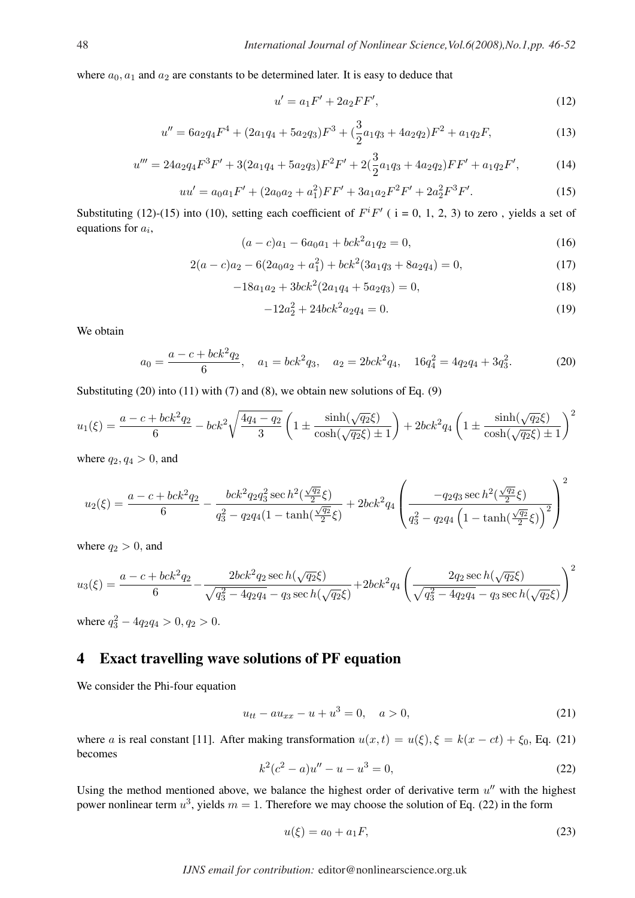where  $a_0$ ,  $a_1$  and  $a_2$  are constants to be determined later. It is easy to deduce that

$$
u' = a_1 F' + 2a_2 FF',\tag{12}
$$

$$
u'' = 6a_2q_4F^4 + (2a_1q_4 + 5a_2q_3)F^3 + (\frac{3}{2}a_1q_3 + 4a_2q_2)F^2 + a_1q_2F,
$$
\n(13)

$$
u''' = 24a_2q_4F^3F' + 3(2a_1q_4 + 5a_2q_3)F^2F' + 2(\frac{3}{2}a_1q_3 + 4a_2q_2)FF' + a_1q_2F',
$$
 (14)

$$
uu' = a_0 a_1 F' + (2a_0 a_2 + a_1^2) FF' + 3a_1 a_2 F^2 F' + 2a_2^2 F^3 F'. \tag{15}
$$

Substituting (12)-(15) into (10), setting each coefficient of  $F^{i}F'$  ( i = 0, 1, 2, 3) to zero, yields a set of equations for  $a_i$ ,

$$
(a - c)a_1 - 6a_0a_1 + bck^2a_1q_2 = 0,
$$
\n(16)

$$
2(a-c)a_2 - 6(2a_0a_2 + a_1^2) + bck^2(3a_1a_3 + 8a_2a_4) = 0,
$$
\n(17)

$$
-18a_1a_2 + 3bck^2(2a_1q_4 + 5a_2q_3) = 0,
$$
\n(18)

$$
-12a_2^2 + 24bck^2a_2q_4 = 0.\t(19)
$$

We obtain

$$
a_0 = \frac{a - c + bck^2q_2}{6}, \quad a_1 = bck^2q_3, \quad a_2 = 2bck^2q_4, \quad 16q_4^2 = 4q_2q_4 + 3q_3^2. \tag{20}
$$

Substituting  $(20)$  into  $(11)$  with  $(7)$  and  $(8)$ , we obtain new solutions of Eq.  $(9)$ 

$$
u_1(\xi) = \frac{a - c + bck^2q_2}{6} - bck^2\sqrt{\frac{4q_4 - q_2}{3}} \left(1 \pm \frac{\sinh(\sqrt{q_2}\xi)}{\cosh(\sqrt{q_2}\xi) \pm 1}\right) + 2bck^2q_4\left(1 \pm \frac{\sinh(\sqrt{q_2}\xi)}{\cosh(\sqrt{q_2}\xi) \pm 1}\right)^2
$$

where  $q_2, q_4 > 0$ , and

$$
u_2(\xi) = \frac{a-c + bck^2q_2}{6} - \frac{bck^2q_2q_3^2 \sec h^2(\frac{\sqrt{q_2}}{2}\xi)}{q_3^2 - q_2q_4(1 - \tanh(\frac{\sqrt{q_2}}{2}\xi)} + 2bck^2q_4\left(\frac{-q_2q_3 \sec h^2(\frac{\sqrt{q_2}}{2}\xi)}{q_3^2 - q_2q_4\left(1 - \tanh(\frac{\sqrt{q_2}}{2}\xi)\right)^2}\right)^2
$$

where  $q_2 > 0$ , and

$$
u_3(\xi) = \frac{a-c + bck^2q_2}{6} - \frac{2bck^2q_2 \sec h(\sqrt{q_2}\xi)}{\sqrt{q_3^2 - 4q_2q_4} - q_3 \sec h(\sqrt{q_2}\xi)} + 2bck^2q_4 \left(\frac{2q_2 \sec h(\sqrt{q_2}\xi)}{\sqrt{q_3^2 - 4q_2q_4} - q_3 \sec h(\sqrt{q_2}\xi)}\right)^2
$$

where  $q_3^2 - 4q_2q_4 > 0, q_2 > 0.$ 

### 4 Exact travelling wave solutions of PF equation

We consider the Phi-four equation

$$
u_{tt} - au_{xx} - u + u^3 = 0, \quad a > 0,
$$
\n(21)

where a is real constant [11]. After making transformation  $u(x,t) = u(\xi), \xi = k(x - ct) + \xi_0$ , Eq. (21) becomes

$$
k2(c2 - a)u'' - u - u3 = 0,
$$
\n(22)

Using the method mentioned above, we balance the highest order of derivative term  $u''$  with the highest power nonlinear term  $u^3$ , yields  $m = 1$ . Therefore we may choose the solution of Eq. (22) in the form

$$
u(\xi) = a_0 + a_1 F,\tag{23}
$$

*IJNS email for contribution:* editor@nonlinearscience.org.uk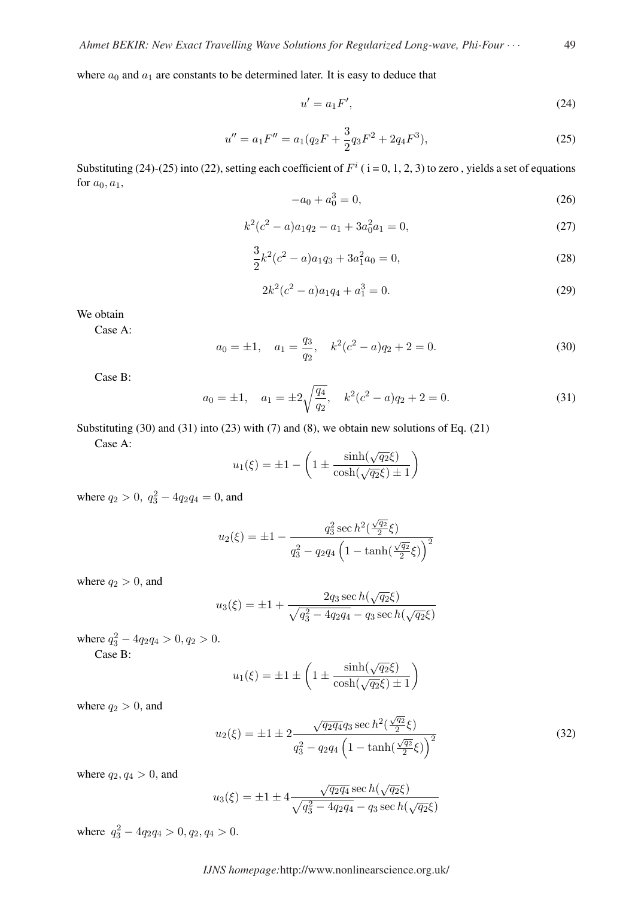where  $a_0$  and  $a_1$  are constants to be determined later. It is easy to deduce that

$$
u' = a_1 F',\tag{24}
$$

$$
u'' = a_1 F'' = a_1 (q_2 F + \frac{3}{2} q_3 F^2 + 2q_4 F^3),
$$
\n(25)

Substituting (24)-(25) into (22), setting each coefficient of  $F^i$  ( $i = 0, 1, 2, 3$ ) to zero, yields a set of equations for  $a_0, a_1$ ,

$$
-a_0 + a_0^3 = 0,\t\t(26)
$$

$$
k^2(c^2 - a)a_1q_2 - a_1 + 3a_0^2a_1 = 0,
$$
\n(27)

$$
\frac{3}{2}k^2(c^2 - a)a_1q_3 + 3a_1^2a_0 = 0,
$$
\n(28)

$$
2k^2(c^2 - a)a_1q_4 + a_1^3 = 0.
$$
\n(29)

We obtain

Case A:

$$
a_0 = \pm 1, \quad a_1 = \frac{q_3}{q_2}, \quad k^2(c^2 - a)q_2 + 2 = 0. \tag{30}
$$

Case B:

$$
a_0 = \pm 1
$$
,  $a_1 = \pm 2\sqrt{\frac{q_4}{q_2}}$ ,  $k^2(c^2 - a)q_2 + 2 = 0$ . (31)

Substituting (30) and (31) into (23) with (7) and (8), we obtain new solutions of Eq. (21) Case A:

$$
u_1(\xi) = \pm 1 - \left(1 \pm \frac{\sinh(\sqrt{q_2}\xi)}{\cosh(\sqrt{q_2}\xi) \pm 1}\right)
$$

where  $q_2 > 0$ ,  $q_3^2 - 4q_2q_4 = 0$ , and

$$
u_2(\xi) = \pm 1 - \frac{q_3^2 \sec h^2(\frac{\sqrt{q_2}}{2}\xi)}{q_3^2 - q_2 q_4 \left(1 - \tanh(\frac{\sqrt{q_2}}{2}\xi)\right)^2}
$$

where  $q_2 > 0$ , and

$$
u_3(\xi) = \pm 1 + \frac{2q_3 \sec h(\sqrt{q_2}\xi)}{\sqrt{q_3^2 - 4q_2q_4} - q_3 \sec h(\sqrt{q_2}\xi)}
$$

where  $q_3^2 - 4q_2q_4 > 0, q_2 > 0.$ Case B:

$$
u_1(\xi) = \pm 1 \pm \left(1 \pm \frac{\sinh(\sqrt{q_2}\xi)}{\cosh(\sqrt{q_2}\xi) \pm 1}\right)
$$

where  $q_2 > 0$ , and

$$
u_2(\xi) = \pm 1 \pm 2 \frac{\sqrt{q_2 q_4} q_3 \sec h^2(\frac{\sqrt{q_2}}{2}\xi)}{q_3^2 - q_2 q_4 \left(1 - \tanh(\frac{\sqrt{q_2}}{2}\xi)\right)^2}
$$
(32)

where  $q_2, q_4 > 0$ , and

$$
u_3(\xi) = \pm 1 \pm 4 \frac{\sqrt{q_2 q_4} \sec h(\sqrt{q_2} \xi)}{\sqrt{q_3^2 - 4q_2 q_4} - q_3 \sec h(\sqrt{q_2} \xi)}
$$

where  $q_3^2 - 4q_2 q_4 > 0, q_2, q_4 > 0.$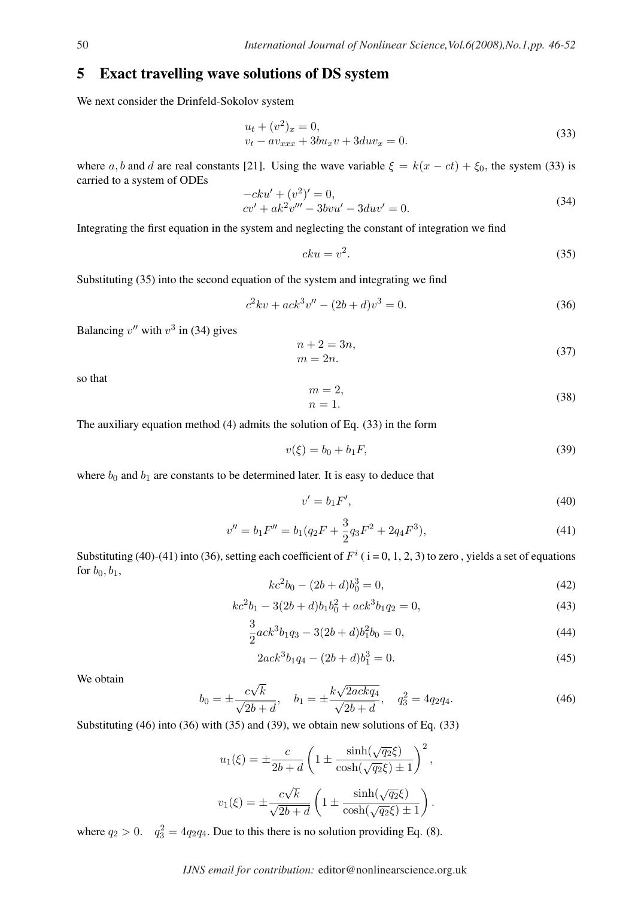#### 5 Exact travelling wave solutions of DS system

We next consider the Drinfeld-Sokolov system

$$
u_t + (v^2)_x = 0,
$$
  
\n
$$
v_t - av_{xxx} + 3bu_x v + 3du v_x = 0.
$$
\n(33)

where a, b and d are real constants [21]. Using the wave variable  $\xi = k(x - ct) + \xi_0$ , the system (33) is carried to a system of ODEs

$$
-cku' + (v2)' = 0,cv' + ak2v''' - 3bvu' - 3duv' = 0.
$$
 (34)

Integrating the first equation in the system and neglecting the constant of integration we find

$$
cku = v^2. \t\t(35)
$$

Substituting (35) into the second equation of the system and integrating we find

$$
c^2kv + ack^3v'' - (2b+d)v^3 = 0.
$$
\n(36)

Balancing  $v''$  with  $v^3$  in (34) gives

$$
n+2=3n,
$$
  
\n
$$
m=2n.
$$
\n(37)

so that

$$
m = 2,
$$
  
\n
$$
n = 1.
$$
\n(38)

The auxiliary equation method (4) admits the solution of Eq. (33) in the form

$$
v(\xi) = b_0 + b_1 F,\t\t(39)
$$

where  $b_0$  and  $b_1$  are constants to be determined later. It is easy to deduce that

$$
v' = b_1 F',\tag{40}
$$

$$
v'' = b_1 F'' = b_1 (q_2 F + \frac{3}{2} q_3 F^2 + 2q_4 F^3),
$$
\n(41)

Substituting (40)-(41) into (36), setting each coefficient of  $F^i$  (i=0, 1, 2, 3) to zero, yields a set of equations for  $b_0$ ,  $b_1$ ,

$$
kc^2b_0 - (2b+d)b_0^3 = 0,
$$
\t(42)

$$
kc2b1 - 3(2b + d)b1b02 + ack3b1q2 = 0,
$$
\n(43)

$$
\frac{3}{2}ack^3b_1q_3 - 3(2b+d)b_1^2b_0 = 0,
$$
\n(44)

$$
2ack3b1q4 - (2b + d)b13 = 0.
$$
\n(45)

We obtain

$$
b_0 = \pm \frac{c\sqrt{k}}{\sqrt{2b+d}}, \quad b_1 = \pm \frac{k\sqrt{2ackq_4}}{\sqrt{2b+d}}, \quad q_3^2 = 4q_2q_4. \tag{46}
$$

Substituting (46) into (36) with (35) and (39), we obtain new solutions of Eq. (33)

$$
u_1(\xi) = \pm \frac{c}{2b + d} \left( 1 \pm \frac{\sinh(\sqrt{q_2}\xi)}{\cosh(\sqrt{q_2}\xi) \pm 1} \right)^2,
$$
  

$$
v_1(\xi) = \pm \frac{c\sqrt{k}}{\sqrt{2b + d}} \left( 1 \pm \frac{\sinh(\sqrt{q_2}\xi)}{\cosh(\sqrt{q_2}\xi) \pm 1} \right).
$$

where  $q_2 > 0$ .  $q_3^2 = 4q_2q_4$ . Due to this there is no solution providing Eq. (8).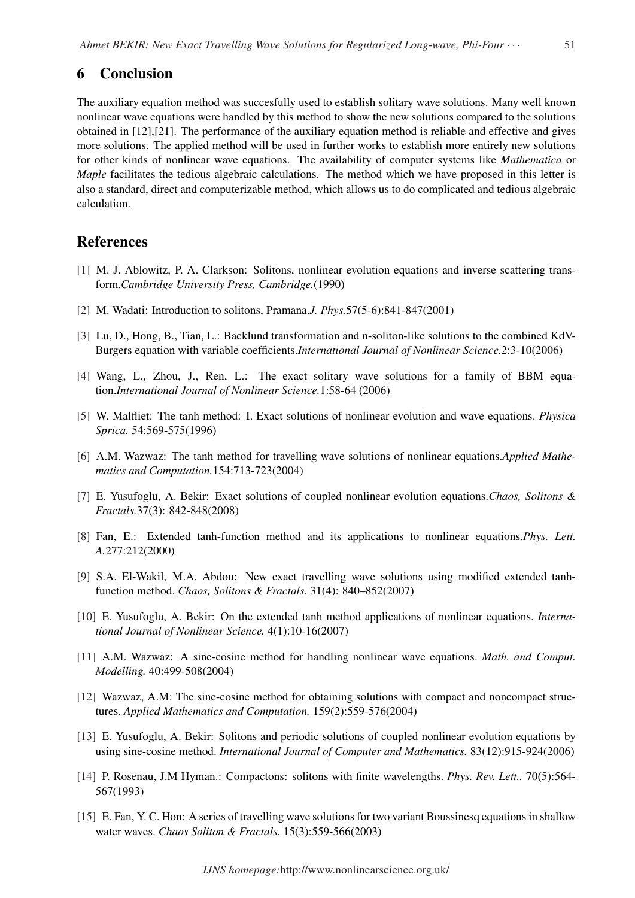#### 6 Conclusion

The auxiliary equation method was succesfully used to establish solitary wave solutions. Many well known nonlinear wave equations were handled by this method to show the new solutions compared to the solutions obtained in [12],[21]. The performance of the auxiliary equation method is reliable and effective and gives more solutions. The applied method will be used in further works to establish more entirely new solutions for other kinds of nonlinear wave equations. The availability of computer systems like *Mathematica* or *Maple* facilitates the tedious algebraic calculations. The method which we have proposed in this letter is also a standard, direct and computerizable method, which allows us to do complicated and tedious algebraic calculation.

#### References

- [1] M. J. Ablowitz, P. A. Clarkson: Solitons, nonlinear evolution equations and inverse scattering transform.*Cambridge University Press, Cambridge.*(1990)
- [2] M. Wadati: Introduction to solitons, Pramana.*J. Phys.*57(5-6):841-847(2001)
- [3] Lu, D., Hong, B., Tian, L.: Backlund transformation and n-soliton-like solutions to the combined KdV-Burgers equation with variable coefficients.*International Journal of Nonlinear Science.*2:3-10(2006)
- [4] Wang, L., Zhou, J., Ren, L.: The exact solitary wave solutions for a family of BBM equation.*International Journal of Nonlinear Science.*1:58-64 (2006)
- [5] W. Malfliet: The tanh method: I. Exact solutions of nonlinear evolution and wave equations. *Physica Sprica.* 54:569-575(1996)
- [6] A.M. Wazwaz: The tanh method for travelling wave solutions of nonlinear equations.*Applied Mathematics and Computation.*154:713-723(2004)
- [7] E. Yusufoglu, A. Bekir: Exact solutions of coupled nonlinear evolution equations.*Chaos, Solitons & Fractals.*37(3): 842-848(2008)
- [8] Fan, E.: Extended tanh-function method and its applications to nonlinear equations.*Phys. Lett. A.*277:212(2000)
- [9] S.A. El-Wakil, M.A. Abdou: New exact travelling wave solutions using modified extended tanhfunction method. *Chaos, Solitons & Fractals.* 31(4): 840–852(2007)
- [10] E. Yusufoglu, A. Bekir: On the extended tanh method applications of nonlinear equations. *International Journal of Nonlinear Science.* 4(1):10-16(2007)
- [11] A.M. Wazwaz: A sine-cosine method for handling nonlinear wave equations. *Math. and Comput. Modelling.* 40:499-508(2004)
- [12] Wazwaz, A.M: The sine-cosine method for obtaining solutions with compact and noncompact structures. *Applied Mathematics and Computation.* 159(2):559-576(2004)
- [13] E. Yusufoglu, A. Bekir: Solitons and periodic solutions of coupled nonlinear evolution equations by using sine-cosine method. *International Journal of Computer and Mathematics.* 83(12):915-924(2006)
- [14] P. Rosenau, J.M Hyman.: Compactons: solitons with finite wavelengths. *Phys. Rev. Lett..* 70(5):564- 567(1993)
- [15] E. Fan, Y. C. Hon: A series of travelling wave solutions for two variant Boussinesq equations in shallow water waves. *Chaos Soliton & Fractals.* 15(3):559-566(2003)